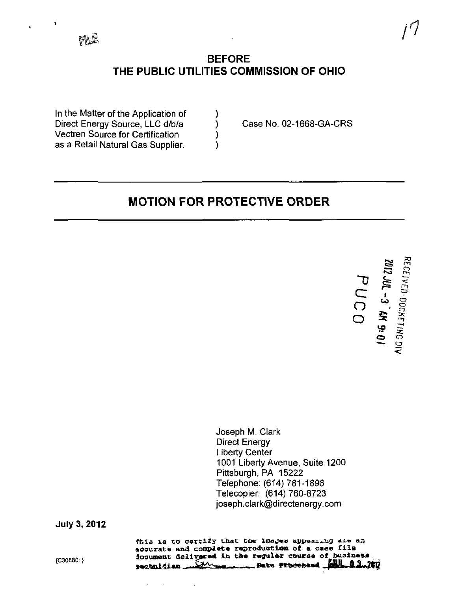

## BEFORE THE PUBLIC UTILITIES COMMISSION OF OHIO

In the Matter of the Application of Direct Energy Source, LLC d/b/a (b) Case No. 02-1668-GA-CRS Vectren Source for Certification (1) as a Retail Natural Gas Supplier. (a)

# MOTION FOR PROTECTIVE ORDER

 $\Delta$  $\subset$  $\bigcap$ o fe- g y<br>N<br>Z  $\overline{m}$  سط  $\mathbf{1}$  $\mathbf{\omega}$   $\mathbf{\Xi}$ ا i<br>Pre  $\frac{5}{5}$ 

Joseph M. Clark Direct Energy Liberty Center 1001 Liberty Avenue, Suite 1200 Pittsburgh, PA 15222 Telephone: (614) 781-1896 Telecopier: (614) 760-8723 [ioseph.clark@directenergy.com](mailto:ioseph.clark@directenergy.com) 

**July 3, 2012** 

This is to certify that the images appearing are an accurate and complete reproduction of a case file {C30880} document delivered in the regular course of business.<br>Registed that the regular course of business. rechnician.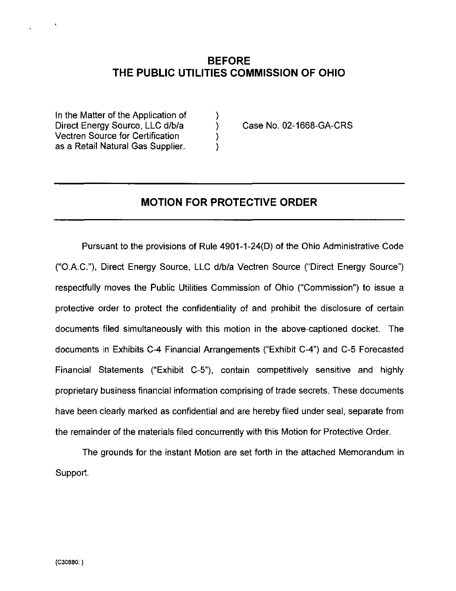## BEFORE THE PUBLIC UTILITIES COMMISSION OF OHIO

In the Matter of the Application of  $\qquad \qquad$  ) Direct Energy Source, LLC d/b/a (b) Case No. 02-1668-GA-CRS Vectren Source for Certification ) as a Retail Natural Gas Supplier.

## MOTION FOR PROTECTIVE ORDER

Pursuant to the provisions of Rule 4901-1-24(0) of the Ohio Administrative Code ("O.A.C."), Direct Energy Source, LLC d/b/a Vectren Source ("Direct Energy Source") respectfully moves the Public Utilities Commission of Ohio ("Commission") to issue a protective order to protect the confidentiality of and prohibit the disclosure of certain documents filed simultaneously with this motion in the above-captioned docket. The documents in Exhibits C-4 Financial Arrangements ("Exhibit C-4") and C-5 Forecasted Financial Statements ("Exhibit C-5"), contain competitively sensitive and highly proprietary business financial information comprising of trade secrets. These documents have been clearly marked as confidential and are hereby filed under seal, separate from the remainder of the materials filed concurrently with this Motion for Protective Order.

The grounds for the instant Motion are set forth in the attached Memorandum in Support.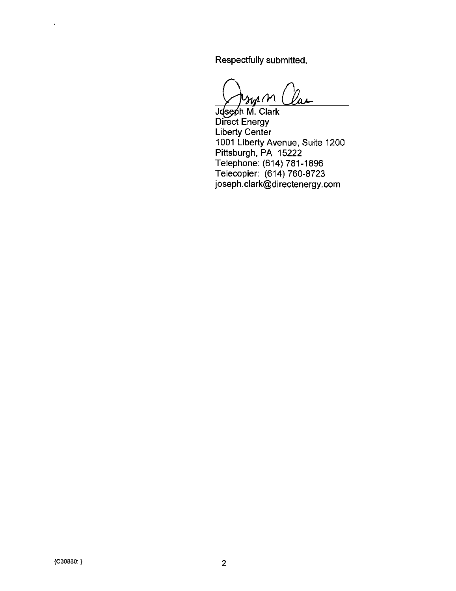Respectfully submitted,

Joseph M. Clark Direct Energy Liberty Center 1001 Liberty Avenue, Suite 1200 Pittsburgh, PA 15222 Telephone: (614) 781-1896 Telecopier: (614) 760-8723 [joseph.clark@directenergy.com](mailto:joseph.clark@directenergy.com) 

 $\label{eq:2.1} \frac{1}{\sqrt{2\pi}}\left(\frac{1}{\sqrt{2\pi}}\right)^{1/2}\frac{1}{\sqrt{2\pi}}\left(\frac{1}{\sqrt{2\pi}}\right)^{1/2}$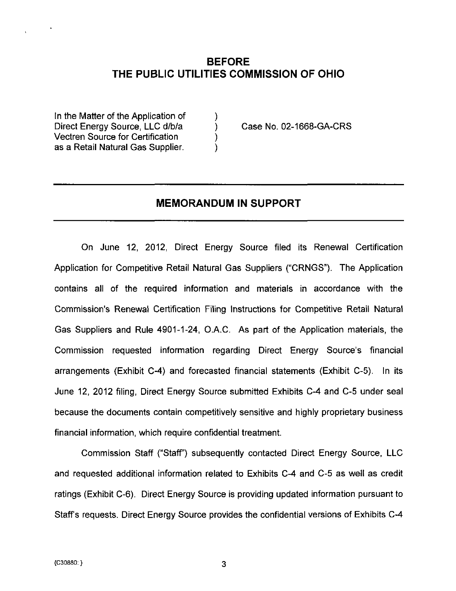## BEFORE THE PUBLIC UTILITIES COMMISSION OF OHIO

In the Matter of the Application of ) Direct Energy Source, LLC d/b/a (a) Case No. 02-1668-GA-CRS Vectren Source for Certification ) as a Retail Natural Gas Supplier.

### MEMORANDUM IN SUPPORT

On June 12, 2012, Direct Energy Source filed its Renewal Certification Application for Competitive Retail Natural Gas Suppliers ("CRNGS"). The Application contains all of the required information and materials in accordance with the Commission's Renewal Certification Filing Instructions for Competitive Retail Natural Gas Suppliers and Rule 4901-1-24, O.A.C. As part of the Application materials, the Commission requested information regarding Direct Energy Source's financial arrangements (Exhibit C-4) and forecasted financial statements (Exhibit C-5). In its June 12, 2012 filing, Direct Energy Source submitted Exhibits C-4 and C-5 under seal because the documents contain competitively sensitive and highly proprietary business financial information, which require confidential treatment.

Commission Staff ("Staff') subsequently contacted Direct Energy Source, LLC and requested additional information related to Exhibits C-4 and C-5 as well as credit ratings (Exhibit C-6). Direct Energy Source is providing updated information pursuant to Staffs requests. Direct Energy Source provides the confidential versions of Exhibits C-4

3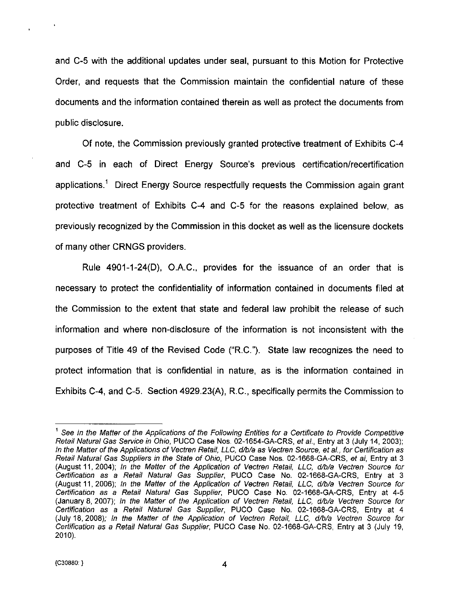and C-5 with the additional updates under seal, pursuant to this Motion for Protective Order, and requests that the Commission maintain the confidential nature of these documents and the information contained therein as well as protect the documents from public disclosure.

Of note, the Commission previously granted protective treatment of Exhibits C-4 and C-5 in each of Direct Energy Source's previous certification/recertification applications.<sup>1</sup> Direct Energy Source respectfully requests the Commission again grant protective treatment of Exhibits C-4 and C-5 for the reasons explained below, as previously recognized by the Commission in this docket as well as the licensure dockets of many other CRNGS providers.

Rule 4901-1-24(D), O.A.C., provides for the issuance of an order that is necessary to protect the confidentiality of information contained in documents filed at the Commission to the extent that state and federal law prohibit the release of such information and where non-disclosure of the information is not inconsistent with the purposes of Title 49 of the Revised Code ("R.C."). State law recognizes the need to protect information that is confidential in nature, as is the information contained in Exhibits C-4, and C-5. Section 4929.23(A), R.C., specifically permits the Commission to

 $\cdot$ 

4

<sup>^</sup> See In the Matter of the Applications of the Following Entities for a Certificate to Provide Competitive Retail Natural Gas Service in Ohio, PUCO Case Nos. 02-1654-GA-CRS, et ai, Entry at 3 (July 14, 2003); In the Matter of the Applications of Vectren Retail, LLC, d/b/a as Vectren Source, et ai., for Certification as Retail Natural Gas Suppliers in the State of Ohio, PUCO Case Nos. 02-1668-GA-CRS, et ai. Entry at 3 (August 11, 2004); /n the Matter of the Application of Vectren Retail, LLC, d/b/a Vectren Source for Certification as a Retail Natural Gas Supplier, PUCO Case No. 02-1668-GA-CRS, Entry at 3 (August 11, 2006); In the Matter of the Application of Vectren Retail, LLC, d/b/a Vectren Source for Certification as a Retail Natural Gas Supplier, PUCO Case No. 02-1668-GA-CRS, Entry at 4-5 (January 8, 2007); In the Matter of the Application of Vectren Retail, LLC. d/b/a Vectren Source for Certification as a Retail Natural Gas Supplier, PUCO Case No. 02-1668-GA-CRS, Entry at 4 (July 18, 2008); In the Matter of the Application of Vectren Retail, LLC, d/b/a Vectren Source for Certification as a Retail Natural Gas Supplier, PUCO Case No. 02-1668-GA-CRS, Entry at 3 (July 19, 2010).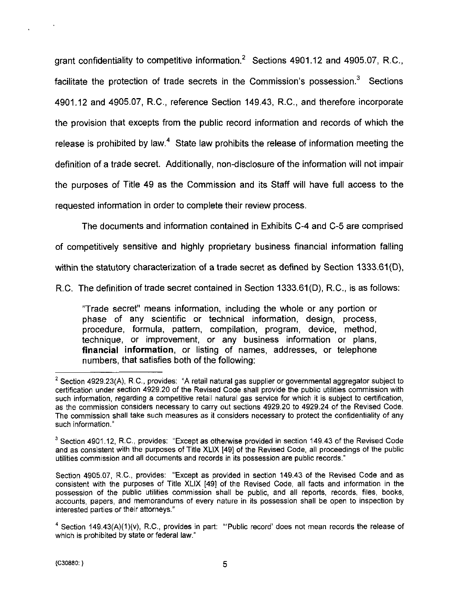grant confidentiality to competitive information. $^2$  Sections 4901.12 and 4905.07, R.C., facilitate the protection of trade secrets in the Commission's possession. $<sup>3</sup>$  Sections</sup> 4901.12 and 4905.07, R.C., reference Section 149.43, R.C., and therefore incorporate the provision that excepts from the public record information and records of which the release is prohibited by law.<sup>4</sup> State law prohibits the release of information meeting the definition of a trade secret. Additionally, non-disclosure of the information will not impair the purposes of Title 49 as the Commission and its Staff will have full access to the requested information in order to complete their review process.

The documents and information contained in Exhibits C-4 and C-5 are comprised

of competitively sensitive and highly proprietary business financial information falling

within the statutory characterization of a trade secret as defined by Section 1333.61(D),

R.C. The definition of trade secret contained in Section 1333.61(D), R.C., is as follows:

"Trade secret" means information, including the whole or any portion or phase of any scientific or technical information, design, process, procedure, formula, pattern, compilation, program, device, method, technique, or improvement, or any business information or plans, financial information, or listing of names, addresses, or telephone numbers, that satisfies both of the following:

 $2$  Section 4929.23(A), R.C., provides: "A retail natural gas supplier or governmental aggregator subject to certification under section 4929.20 of the Revised Code shall provide the public utilities commission with such information, regarding a competitive retail natural gas service for which it is subject to certification, as the commission considers necessary to carry out sections 4929.20 to 4929.24 of the Revised Code. The commission shall take such measures as it considers necessary to protect the confidentiality of any such information."

 $3$  Section 4901.12, R.C., provides: "Except as otherwise provided in section 149.43 of the Revised Code and as consistent with the purposes of Title XLIX [49] of the Revised Code, all proceedings of the public utilities commission and all documents and records in its possession are public records."

Section 4905.07, R.C, provides: "Except as provided in section 149.43 of the Revised Code and as consistent with the purposes of Title XLIX [49] of the Revised Code, all facts and information in the possession of the public utilities commission shall be public, and all reports, records, files, books, accounts, papers, and memorandums of every nature in its possession shall be open to inspection by interested parties or their attorneys."

 $*$  Section 149.43(A)(1)(v), R.C., provides in part: "'Public record' does not mean records the release of which is prohibited by state or federal law."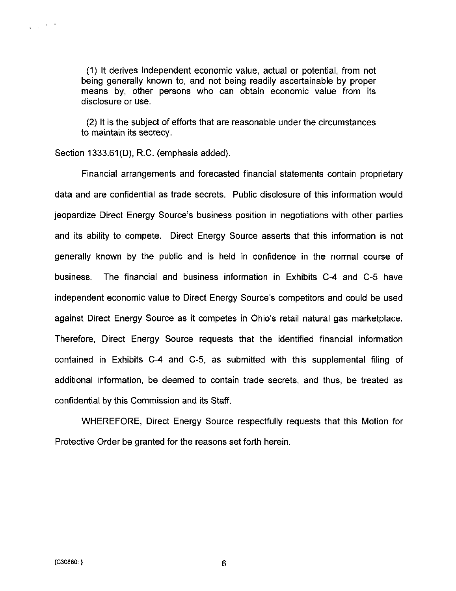(1) It derives independent economic value, actual or potential, from not being generally known to, and not being readily ascertainable by proper means by, other persons who can obtain economic value from its disclosure or use.

(2) It is the subject of efforts that are reasonable under the circumstances to maintain its secrecy.

Section 1333.61(D), R.C. (emphasis added).

Financial arrangements and forecasted financial statements contain proprietary data and are confidential as trade secrets. Public disclosure of this information would jeopardize Direct Energy Source's business position in negotiations with other parties and its ability to compete. Direct Energy Source asserts that this information is not generally known by the public and is held in confidence in the normal course of business. The financial and business information in Exhibits C-4 and C-5 have independent economic value to Direct Energy Source's competitors and could be used against Direct Energy Source as it competes in Ohio's retail natural gas marketplace. Therefore, Direct Energy Source requests that the identified financial information contained in Exhibits C-4 and C-5, as submitted with this supplemental filing of additional information, be deemed to contain trade secrets, and thus, be treated as confidential by this Commission and its Staff.

WHEREFORE, Direct Energy Source respectfully requests that this Motion for Protective Order be granted for the reasons set forth herein.

6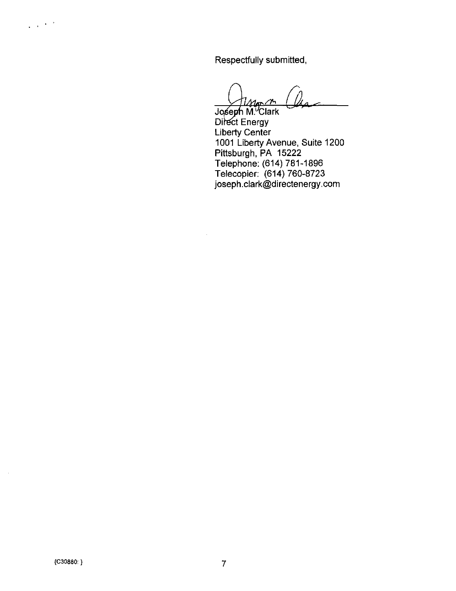Respectfully submitted.

Joseph M.<sup>V</sup>Clark Direct Energy Liberty Center 1001 Liberty Avenue, Suite 1200 Pittsburgh, PA 15222 Telephone: (614) 781-1896 Telecopier: (614) 760-8723 Joseph.clark@directenergy,com

 $\frac{1}{2} \left( \frac{1}{2} \right)^{2} \left( \frac{1}{2} \right)^{2} \frac{1}{2}$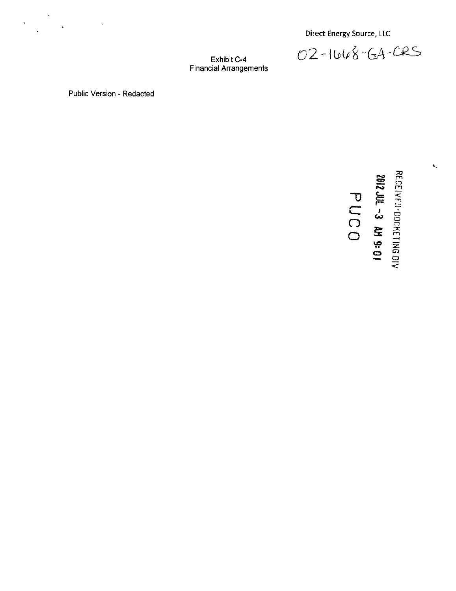Direct Energy Source, LLC

02-1448-GA-CRS

Exhibit C-4 Financial Arrangements

Public Version - Redacted

 $\label{eq:2} \mathcal{S}=\frac{1}{2}\sum_{i=1}^{N}\frac{1}{2}\sum_{i=1}^{N}\frac{1}{2}\sum_{i=1}^{N}\frac{1}{2}\sum_{i=1}^{N}\frac{1}{2}\sum_{i=1}^{N}\frac{1}{2}\sum_{i=1}^{N}\frac{1}{2}\sum_{i=1}^{N}\frac{1}{2}\sum_{i=1}^{N}\frac{1}{2}\sum_{i=1}^{N}\frac{1}{2}\sum_{i=1}^{N}\frac{1}{2}\sum_{i=1}^{N}\frac{1}{2}\sum_{i=1}^{N}\frac{1}{2}\sum_{i=1}^{N}\frac{1}{2}\sum_{i=1$ 

"D  $\overline{C}$ o  $\simeq$ (s»  $\boldsymbol{\Xi}$ r~ 1  $\tilde{\phantom{a}}$  $\mathbf{\ddot{x}}$ ې: 0 ا 3 3 m  $\Xi$ o o CD .x  $\frac{11}{26}$ 므

 $\prec$ 

 $\hat{\mathbf{a}}_n$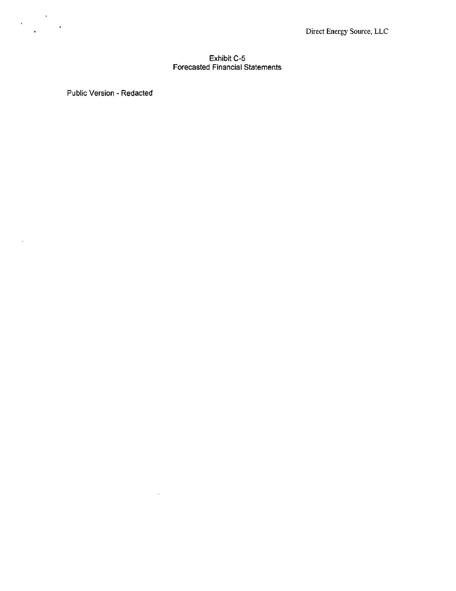#### Exhibit C-5 Forecasted Financial Statements

Public Version - Redacted

 $\sim$   $\sim$ 

 $\label{eq:2} \frac{1}{\sqrt{2}}\sum_{i=1}^N\frac{1}{\sqrt{2\pi}}\sum_{i=1}^N\frac{1}{\sqrt{2\pi}}\sum_{i=1}^N\frac{1}{\sqrt{2\pi}}\sum_{i=1}^N\frac{1}{\sqrt{2\pi}}\sum_{i=1}^N\frac{1}{\sqrt{2\pi}}\sum_{i=1}^N\frac{1}{\sqrt{2\pi}}\sum_{i=1}^N\frac{1}{\sqrt{2\pi}}\sum_{i=1}^N\frac{1}{\sqrt{2\pi}}\sum_{i=1}^N\frac{1}{\sqrt{2\pi}}\sum_{i=1}^N\frac{1}{$ 

 $\sim$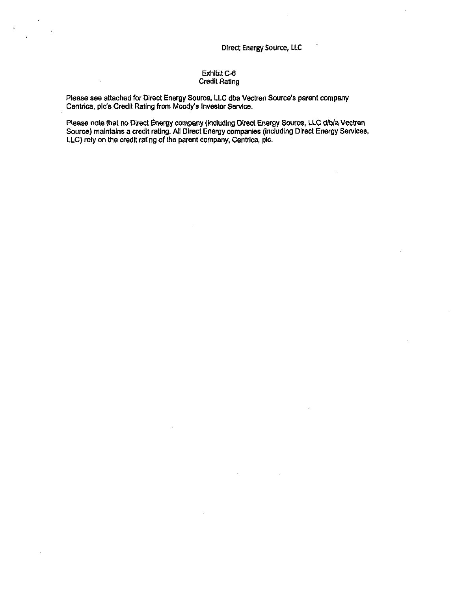#### Exhibit C-6 Credit Rating

Please see attached for Direct Energy Source, LLC dba Vectren Source's parent company Centrica, pic's Credit Rating from Moody's Investor Service.

Please note that no Direct Energy company (Including Direct Energy Source, LLC d/b/a Vectren Source) maintains a credit rating. All Direct Energy companies (Including Direct Energy Services, LLC) rely on the credit rating of the parent company, Centrica. pic.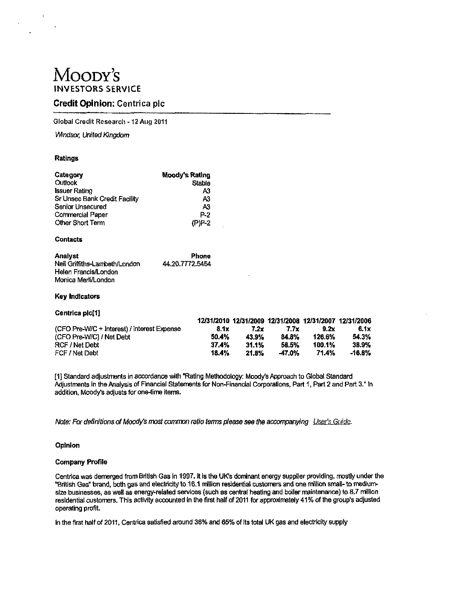# MOODY'S INVESTORS SERVICE

### Credit Opinion: Centrica pic

Global Credit Research -12 Aug 2011

Windsor, United Kingdom

#### Ratings

| Category                                    | Moody's Rating  |
|---------------------------------------------|-----------------|
| Outlook                                     | Stable          |
| Issuer Rating                               | A3              |
| Sr Unsec Bank Credit Facility               | A3              |
| Senior Unsecured                            | A3              |
| Commercial Paper                            | P 2             |
| Other Short Term                            | (P)P-2          |
| <b>Contacts</b>                             |                 |
| <b>Analyst</b>                              | Phone           |
| Neil Gnifiths-Lambeth/London                | 44.20.7772.5454 |
| Helen Francis/London                        |                 |
| Monica Merli/London                         |                 |
| Key Indicators                              |                 |
| Centrica pic[1]                             |                 |
|                                             | 12/31/201       |
| (CFO Pre-W/C + Interest) / Interest Expense | 8.1             |
| (CFO Pre-W/C) / Net Debt                    | 50.4            |
| DOC / Not Daht                              | 27 A            |

12/31/2010 12/31/2009 12/31/2008 12/31/2007 12/31/2006 (CFO Pre-W/C + Interest) / Interest Expense  $\begin{array}{ccc} 8.1x & 7.2x & 7.7x & 9.2x & 6.1x \end{array}$ (CFO Pre-W/C) / Net Debt 50.4% 43.9% 84,8% 126.6% 54.3% RCF/Net Debt 37.4% 31.1% 58.5% 100.1% 38.9% FCF / Net Debt 18.4% 21.8% 47.0% 71.4% -16.8%

[1] Standard adjustments in accordance with "Rating Methodology: Moody's Approach to Global Standard Adjustments in the Analysis of Financial Statements for Non-Financial Corporations, Part 1, Part 2 and Part 3." In addition, Moody's adjusts for one-time items.

Note: For definitions of Moody's most common ratio terms please see the accompanying User's Guide.

#### Opinion

#### Company Profile

Centrica was demerged from British Gas in 1997. It Is the UK's dominant energy supplier providing, mostly under the "British Gas" brand, both gas and electricity to 16.1 miHion residential customers and one milHon small- to mediumsize businesses, as well as energy-related services (such as central heating and boiler maintenance) to 8,7 million residential customers. This activity accounted In the first half of 2011 for approximately 41% of the group's adjusted operating profit.

In the first half of 2011, Centrica satisfied around 36% and 65% of Its total UK gas and electricity supply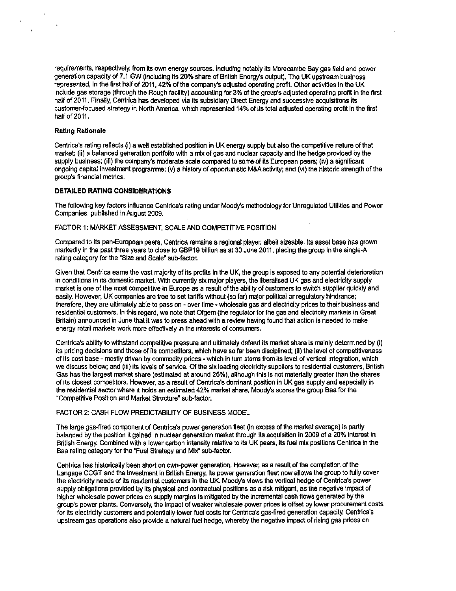requirements, respectively, from its own energy sources. Including notably its Morecambe Bay gas field and power generation capacity of 7.1 GW (Including Its 20% share of British Energy's output). The UK upstream business represented, In the first half of 2011, 42% of the company's adjusted operating profit. Other activities in the UK include gas storage (through the Rough facility) accounting for 3% of the group's adjusted operating profit In the first half of 2011. Finally, Centrica has developed via its subsidiary Direct Energy and successive acquisitions its customer-focused strategy in North America, whldi represented 14% of its total adjusted operating profit In the first half of 2011.

#### Rating Rationale

 $\ddot{\phantom{1}}$ 

Centrica's rating reflects (i) a well established position in UK energy supply but also the competitive nature of that market; (11) a balanced generation portfdio with a mix of gas and nuclear capacity and the hedge provided by the supply business; (iii) the company's moderate scale compared to some-of its European peers; (iv) a significant ongoing capital investment programme; (v) a history of opportunistic M&A activity; and (vi) the historic strength of the group's financial metrics.

#### DETAILED RATING CONSIDERATIONS

The following key factors Influence Centrica's rating under Moody's methodology for Unregulated Utilities and Power Companies, published in August 2009,

#### FACTOR 1: MARKET ASSESSMENT, SCALE AND COMPETITIVE POSITION

Compared to Its pan-European peers, Centrica remains a regional player, albeit sizeable. Its asset base has grown markedly in the past three years to close to GBP19 billion as at 30 June 2011, placing the group in the single-A rating category for the "Size and Scale" sub-factor.

Given that Centrica eams the vast majority of its profits In the UK, the group is exposed to any potential deterioration in conditions in its domestic market. With currently six major players, the liberalised UK gas and electricity supply market is one of the most competitive in Europe as a result of the ability of customers to switch supplier quickly and easily However, UK companies are free to set tariffs without {so far) major political or regulatory hindrance; therefore, they are ultimately able to pass on - over time - wholesale gas and eledridty prices to their business and residential customers. In this regard, we note that Ofgem (the regulator for the gas and electricity markets in Great Britain) announced in June that it was to press ahead with a review having found that action is needed to make energy retail markets work more effectively in the interests of consumers.

Centrica's ability to withstand competitive pressure and ultimately defend its market share is mainly determined by (i) its pricing decisions and those of its competitors, which have so far been disciplined; (ii) the level of competitiveness of its cost base - mostly driven by commodity prices - which in turn stems from its level of vertical Integration, which we discuss below; and (iii) Its levels of service. Of the six leading electridty suppliers to residential customers, British Gas has the largest market share (estimated at around 25%), although this is not materially greater than the shares of its closest conpetitors. However, as a result of Centrica's doninant position In UK gas supply and especially in the residential sector where it holds an estimated 42% market share, Moody's scores the group Baa for the "Conrpetitive Position and Market Structure" sub-factor.

#### FACTOR 2: CASH FLOW PREDICTABILITY OF BUSINESS MODEL

The large gas-fired component of Centrica's power generation fleet (in excess of the market average) is partly balanced by the position It gained In nuclear generation market through its acquisition in 2009 of a 20% interest in British Energy. Combined with a lower carbon intensity relative to its UK peers, its fuel mix positions Centrica in the Baa rating category for the "Fuel Strategy and Mix" sub-factor.

Centrica has historically been short on own-power generation. However, as a result of the completion of the Langage CCGT and the investment in British Energy, Its power generation fleet now allows the group to fully cover the electricity needs of its residential customers in the UK. Moody's views the vertical hedge of Centrica's power supply obligations provided by its physical and contractual positions as a risk mitigant, as the negative impact of higher wholesale power prices on supply margins is mitigated by the incremental cash flows generated by the group's power plants. Conversely, the impact of weaker wholesale power prices is offset by lower procurement costs for its electricity customers and potentially lower fuel costs for Centrica's gas-fired generation capacity, Centrica's upstream gas operations also provide a natural fuel hedge, whereby the negative impact of rising gas prices on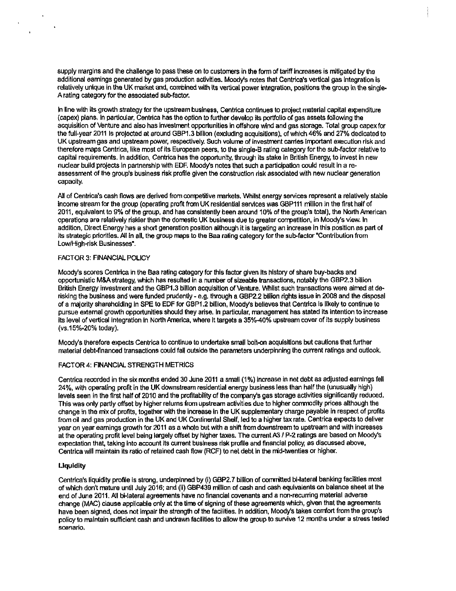supply margins and the challenge to pass these on to customers in the form of tariff increases is mitigated by the additional earnings generated by gas production activities. Moody's notes that Centrica's vertical gas integration is relatively unique in the UK market and, combined with its vertical power integration, positions the group in the single-A rating category for the assodated sub-factor.

In line with its growth strategy for the upstream business, Centrica continues to project material capital expenditure (capex) plans. In particular, Centrica has the option to further develop its portfolio of gas assets foliowing the acquisition of Venture and also has investment opportunities in offshore wind and gas storage. Total group capex for the full-year 2011 Is projected at around GBP1.3 billion (exduding acquisitions), of which 46% and 27% dedicated to UK upstream gas and upstream power, respectively Such vdume of investment canies important execution risk and therefore maps Centrica, like most of its European peers, to the sIngle-B rating category for the sub-factor relative to capital requirements. In addition, Centrica has the opportunity, through its stake in British Energy, to invest in new nudear build projects in partnership with EDF. Moody's notes that such a partidpatlon could result in a reassessment of the group's business risk profile given the construction risk associated with new nuclear generation capacity.

All of Centrica's cash flows are derived from competitive markets. Whilst energy services represent a relatively stable income stream for the group (operating profit from UK residential services was GBP111 million in the first half of 2011, equivalent to 9% of the group, and has consistently been around 10% of the group's total), the North American operations are relatively riskier than the domestic UK business due to greater competition, in Moody's view. In addition, Direct Energy has a short generation position although it is targeting an increase in this position as part of its strategic priorities. All in all, the group maps to the Baa rating category for the sub-factor "Contribution from Low/High-risk Businesses".

#### FACTOR 3: FINANCIAL POLICY

Moody's scores Centrica In the Baa rating category for this factor given Its history of share buy-backs and opportunistic M&A strategy, which has resulted in a number of sizeable transactions, notably the GBP2.3 billion British Energy investment and the GBP1.3 billion acquisition of Venture. Whilst such transactions were aimed at derisking the business and were funded prudently - e.g. through a GBP2.2 billion rights issue in 2008 and the disposal of a majority shareholding In SPE to EDF for GBP1.2 billion, Moody's believes that Centrica Is likely to continue to pursue external growth opportunities should they arise. In particular, management has stated Its Intention to increase Its level of vertical Integration in North America, where It targets a 35%-4G% upstream cover of its supply business (vs.15%-20% today).

Moody's therefore expects Centrica to continue to undertake small bolt-on acquisitions but cautions that further material debt-financed transactions could fall outside the parameters underpinning the current ratings and outlook.

#### FACTOR 4: FINANCIAL STRENGTH METRICS

Centrica recorded In the six months ended 30 June 2011 a small (1 %) increase in net debt as adjusted earnings fell 24%, with operating profit in the UK downstream residential energy business less than half the (unusually high) levels seen in the first half of 2010 and the profitability of the company's gas storage activities significantly reduced. This was only partly offset by higher returns from upstream activities due to higher commodity prices although the change in the mix of profits, together with the increase in the UK supplementary charge payable in respect of profits from oil and gas production in the UK and UK Continental Shelf, led to a higher tax rate. Centrica expects to deliver year on year earnings growth for 2011 as a whole but with a shift from downstream to upstream and with increases at the operating profit level being largely offset by higher taxes. The current A3 / P-2 ratings are based on Moody's expectation that, taking into account its current business risk profile and financial policy, as discussed above, Centrica will maintain its ratio of retained cash flow (RCF) to net debt in the mid-twenties or higher.

#### **Liquidity**

Centrica's liquidity profile is strong, underpinned by (i) GBP2.7 billion of committed bi-lateral banking facilities most of which don't mature until July 2016; and (II) GBP439 million of cash and cash equivalents on balance sheet at the end of June 2011. All bi-laleral agreements have no financial covenants and a non-recuning material adverse change (MAC) dause applicable only at the time of signing of these agreements which, given that the agreements have been signed, does not impair the strength of the facilities. In addition, Moody's takes comfort from the group's policy to maintain sufficient cash and undrawn facilities to allow the group to survive 12 months under a stress tested scenario.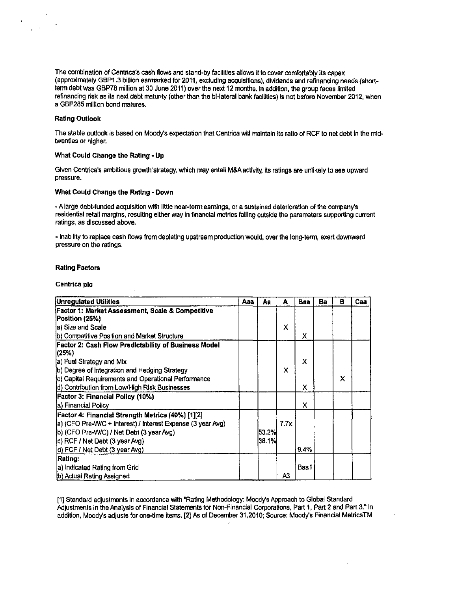The combination of Centrica's cash flows and stand-by facilities allows it to cover comfortably its capex (approximately GBP1.3 billion earmarked for 2011, excluding acquisitions), dividends and refinancing needs (shortterm debt was GBP78 million at 30 June 2011) over the next 12 months. In addition, the group faces limited reflnandng risk as its next debt maturity {other than the bi-laleral bank fadlities) is not before November 2012, when a GBP286 million bond matures.

#### Rating Outlook

The stable outlook is based on Moody's expectation that Centrica will maintain its ratio of RCF to net debt in the midtwenties or higher.

#### What Could Change the Rating • Up

Given Centrica's ambitious growth strategy, which may entail M&A activity, its ratings are unlikely to see upward pressure.

#### What Could Change the Rating - Down

- A large debt-funded acquisition with little near-term earnings, or a sustained deterioration of the company's residential retail margins, resulting either way in finandal metrics falling outside the parameters supporting current ratings, as discussed above.

- Inability to replace cash flows from depleting upstream production would, over the long-term, exert downward pressure on the ratings.

#### Rating Factors

#### Centrica pic

| Unregulated Utilities                                       | Aaa | Aa      | A    | Baa  | Ba | в | Caa |
|-------------------------------------------------------------|-----|---------|------|------|----|---|-----|
| Factor 1: Market Assessment, Scale & Competitive            |     |         |      |      |    |   |     |
| Postton (25%)                                               |     |         |      |      |    |   |     |
| a) Size and Scale                                           |     |         | X    |      |    |   |     |
| (b) Competitive Position and Market Structure               |     |         |      | x    |    |   |     |
| Factor 2: Cash Flow Predictability of Business Model        |     |         |      |      |    |   |     |
| (25%)                                                       |     |         |      |      |    |   |     |
| a) Fuel Strategy and Mix                                    |     |         |      | x    |    |   |     |
| b) Degree of Integration and Hedging Strategy               |     |         | x    |      |    |   |     |
| c) Capital Requirements and Operational Performance         |     |         |      |      |    | x |     |
| d) Contribution from Low/High Risk Businesses               |     |         |      | x    |    |   |     |
| <b>Factor 3: Financial Policy (10%)</b>                     |     |         |      |      |    |   |     |
| la) Financial Policy                                        |     |         |      | x    |    |   |     |
| [Factor 4: Financial Strength Metrics (40%) [1][2]          |     |         |      |      |    |   |     |
| a) (CFO Pre-W/C + Interest) / Interest Expense (3 year Avg) |     |         | 7.7x |      |    |   |     |
| b) (CFO Pre-W/C) / Net Debt (3 year Avg)                    |     | 53.2%   |      |      |    |   |     |
| c) RCF / Net Debt (3 year Avg)                              |     | 138.1%I |      |      |    |   |     |
| d) FCF / Net Debt (3 year Avg)                              |     |         |      | 9.4% |    |   |     |
| Rating:                                                     |     |         |      |      |    |   |     |
| a) Indicated Rating from Grid                               |     |         |      | Baa1 |    |   |     |
| b) Actual Rating Assigned                                   |     |         | A3   |      |    |   |     |

[1] Standard adjustments in accordance with "Rating Methodology: Moody's Approach to Global Standard Adjustments in the Analysis of Financial Statements for Non-Financial Corporations, Part 1, Part 2 and Part 3." In addition, Moody's adjusts for one-time items, [2] As of December 31,2010; Source: Moody's Financial MetrlcsTM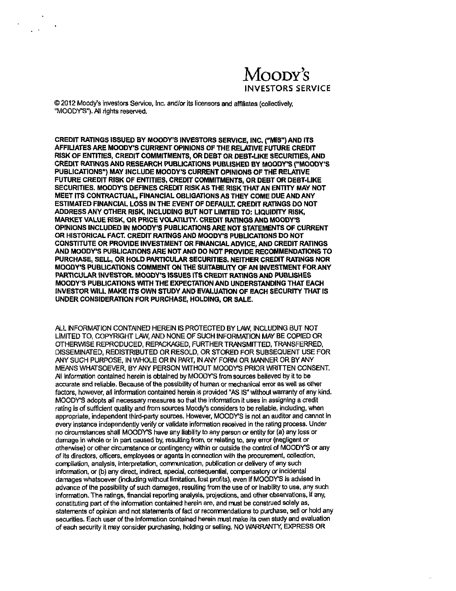# Moody's INVESTORS SERVICE

© 2012 Moody's Investors Service, Inc. and/or its licensors and affiliates [collectively, "MOODY'S"). All rights reserved.

CREDIT RATINGS ISSUED BY MOODY'S INVESTORS SERVICE, INC. ("MIS") AND ITS AFFIUATES ARE MOODY'S CURRENT OPINIONS OF THE RELATIVE FUTURE CREDIT RISK OF ENTITIES, CREDIT COMMITMENTS, OR DEBT OR DEBT-UKE SECURITIES, AND CREDIT RATINGS AND RESEARCH PUBLICATIONS PUBLISHED BY MOODY'S ("MOODY'S PUBLICATIONS") MAY INCLUDE MOODY'S CURRENT OPINIONS OF THE RELATIVE FUTURE CREDIT RISK OF ENTITIES, CREDIT COMMITMENTS, OR DEBT OR DEBT-LIKE SECURITIES. MOODY'S DEFINES CREDIT RISK AS THE RISK THAT AN ENTITY MAY NOT MEET ITS CONTRACTUAL, FINANCIAL OBLIGATIONS AS THEY COME DUE AND ANY ESTIMATED FINANCIAL LOSS IN THE EVENT OF DEFAULT. CREDIT RATINGS DO NOT ADDRESS ANY OTHER RISK, INCLUDING BUT NOT LIMITED TO: LIQUIDITY RISK, MARKET VALUE RISK, OR PRICE VOLATILITY. CREDIT RATINGS AND MOODY'S OPINIONS INCLUDED IN MOODY'S PUBLICATIONS ARE NOT STATEMENTS OF CURRENT OR HISTORICAL FACT. CREDIT RATINGS AND MOODY'S PUBLICATIONS DO NOT CONSTITUTE OR PROVIDE INVESTMENT OR FINANCIAL ADVICE, AND CREDIT RATINGS AND MOODY'S PUBLICATIONS ARE NOT AND DO NOT PROVIDE RECOMMENDATIONS TO PURCHASE, SELL, OR HOLD PARTICULAR SECURITIES. NEITHER CREDIT RATINGS NOR MOODY'S PUBLICATIONS COMMENT ON THE SUITABILITY OF AN INVESTMENT FOR ANY PARTICULAR INVESTOR. MOODY'S ISSUES ITS CREDIT RATINGS AND PUBLISHES MOODY'S PUBLICATIONS WITH THE EXPECTATION AND UNDERSTANDING THAT EACH INVESTOR WILL MAKE ITS OWN STUDY AND EVALUATION OF EACH SECURITY THAT IS UNDER CONSIDERATION FOR PURCHASE, HOLDING. OR SALE.

ALL INFORMATION CONTAINED HEREIN IS PROTECTED BY LAW, INCLUDING BUT NOT LIMITED TO, COPYRIGHT LAW, AND NONE OF SUCH INFORMATION MAY BE COPIED OR OTHERWISE REPRODUCED, REPACKAGED. FURTHER TRANSMITTED, TRANSFERRED. DISSEMINATED. REDISTRIBUTED OR RESOLD, OR STORED FOR SUBSEQUENT USE FOR ANY SUCH PURPOSE, IN WHOLE OR IN PART. IN ANY FORM OR MANNER OR BY ANY MEANS WHATSOEVER, BY ANY PERSON WITHOUT MOODrS PRIOR WRITTEN CONSENT. All information contained herein is obtained by MOODY'S from sources believed by it to be accurate and reliable. Because of the possibility of human or mechanical error as well as other factors, however, all information contained herein is provided "AS IS" without wananty of any kind. MOODY'S adopts all necessary measures so that the infomiatlon It uses In assigning a credit rating is of sufficient quality and from sources Moody's considers to be reliable, including, when appropriate, independent third-party sources. However, MOODY'S Is not an auditor and cannot in every instance independently verify or validate information received in the rating process. Under no circumstances shall MOODY'S have any liability to any person or entity for (a) any loss or damage in whole or in part caused by, resulting from, or relating to, any error (negligent or othenwise) or other circumstance or contingency wltiiin or outside the control of MOODY'S or any of its directors, officers, employees or agents in connection with the procurement, collection, compilation, analysis, interpretation, communication, publication or delivery of any such information, or (b) any direct, indirect, special, consequential, compensatory or incidental damages whatsoever (induding without limitation, lost profits), even If MOODY'S Is advised in advance of the possibility of such damages, resulting from the use of or inability to use. any such information. The ratings, financial reporting analysts, projections, and other observations, if any, constituting part of the Infomiation contained herein are, and must be construed solely as, statements of opinion and not statements of fact or recommendations to purchase, sell or hold any securities. Each user of the information contained herein must make its own study and evaluation of each security It may consider purchasing, holding or selling. NO WARRANTY, EXPRESS OR